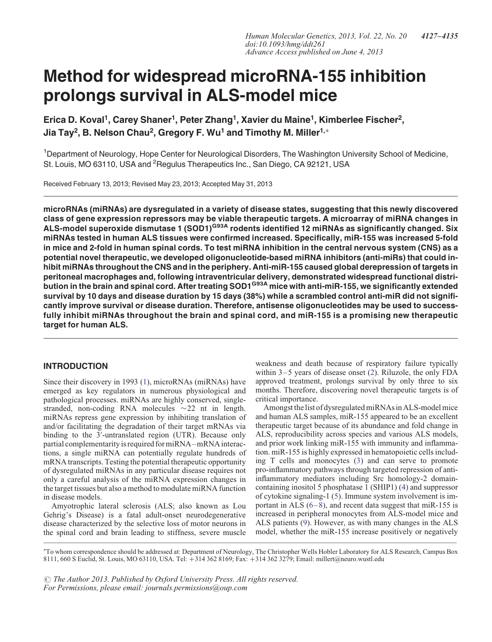# Method for widespread microRNA-155 inhibition prolongs survival in ALS-model mice

Erica D. Koval<sup>1</sup>, Carey Shaner<sup>1</sup>, Peter Zhang<sup>1</sup>, Xavier du Maine<sup>1</sup>, Kimberlee Fischer<sup>2</sup>, Jia Tay<sup>2</sup>, B. Nelson Chau<sup>2</sup>, Gregory F. Wu<sup>1</sup> and Timothy M. Miller<sup>1,\*</sup>

<sup>1</sup>Department of Neurology, Hope Center for Neurological Disorders, The Washington University School of Medicine, St. Louis, MO 63110, USA and <sup>2</sup>Regulus Therapeutics Inc., San Diego, CA 92121, USA

Received February 13, 2013; Revised May 23, 2013; Accepted May 31, 2013

microRNAs (miRNAs) are dysregulated in a variety of disease states, suggesting that this newly discovered class of gene expression repressors may be viable therapeutic targets. A microarray of miRNA changes in ALS-model superoxide dismutase 1 (SOD1)<sup>G93A</sup> rodents identified 12 miRNAs as significantly changed. Six miRNAs tested in human ALS tissues were confirmed increased. Specifically, miR-155 was increased 5-fold in mice and 2-fold in human spinal cords. To test miRNA inhibition in the central nervous system (CNS) as a potential novel therapeutic, we developed oligonucleotide-based miRNA inhibitors (anti-miRs) that could inhibit miRNAs throughout the CNS and in the periphery. Anti-miR-155 caused global derepression of targets in peritoneal macrophages and, following intraventricular delivery, demonstrated widespread functional distribution in the brain and spinal cord. After treating SOD1<sup>G93A</sup> mice with anti-miR-155, we significantly extended survival by 10 days and disease duration by 15 days (38%) while a scrambled control anti-miR did not significantly improve survival or disease duration. Therefore, antisense oligonucleotides may be used to successfully inhibit miRNAs throughout the brain and spinal cord, and miR-155 is a promising new therapeutic target for human ALS.

## INTRODUCTION

Since their discovery in 1993 ([1\)](#page-7-0), microRNAs (miRNAs) have emerged as key regulators in numerous physiological and pathological processes. miRNAs are highly conserved, singlestranded, non-coding RNA molecules  $\sim$ 22 nt in length. miRNAs repress gene expression by inhibiting translation of and/or facilitating the degradation of their target mRNAs via binding to the 3′ -untranslated region (UTR). Because only partial complementarity is required for miRNA–mRNA interactions, a single miRNA can potentially regulate hundreds of mRNA transcripts. Testing the potential therapeutic opportunity of dysregulated miRNAs in any particular disease requires not only a careful analysis of the miRNA expression changes in the target tissues but also a method to modulate miRNA function in disease models.

Amyotrophic lateral sclerosis (ALS; also known as Lou Gehrig's Disease) is a fatal adult-onset neurodegenerative disease characterized by the selective loss of motor neurons in the spinal cord and brain leading to stiffness, severe muscle

weakness and death because of respiratory failure typically within 3–5 years of disease onset ([2\)](#page-7-0). Riluzole, the only FDA approved treatment, prolongs survival by only three to six months. Therefore, discovering novel therapeutic targets is of critical importance.

Amongst the list of dysregulated miRNAs in ALS-model mice and human ALS samples, miR-155 appeared to be an excellent therapeutic target because of its abundance and fold change in ALS, reproducibility across species and various ALS models, and prior work linking miR-155 with immunity and inflammation. miR-155 is highly expressed in hematopoietic cells including T cells and monocytes ([3\)](#page-7-0) and can serve to promote pro-inflammatory pathways through targeted repression of antiinflammatory mediators including Src homology-2 domaincontaining inositol 5 phosphatase 1 (SHIP1) ([4\)](#page-7-0) and suppressor of cytokine signaling-1 [\(5](#page-7-0)). Immune system involvement is important in ALS  $(6-8)$  $(6-8)$  $(6-8)$  $(6-8)$ , and recent data suggest that miR-155 is increased in peripheral monocytes from ALS-model mice and ALS patients [\(9](#page-7-0)). However, as with many changes in the ALS model, whether the miR-155 increase positively or negatively

 $\odot$  The Author 2013. Published by Oxford University Press. All rights reserved. For Permissions, please email: journals.permissions@oup.com

<sup>∗</sup> To whom correspondence should be addressed at: Department of Neurology, The Christopher Wells Hobler Laboratory for ALS Research, Campus Box 8111, 660 S Euclid, St. Louis, MO 63110, USA. Tel: +314 362 8169; Fax: +314 362 3279; Email: millert@neuro.wustl.edu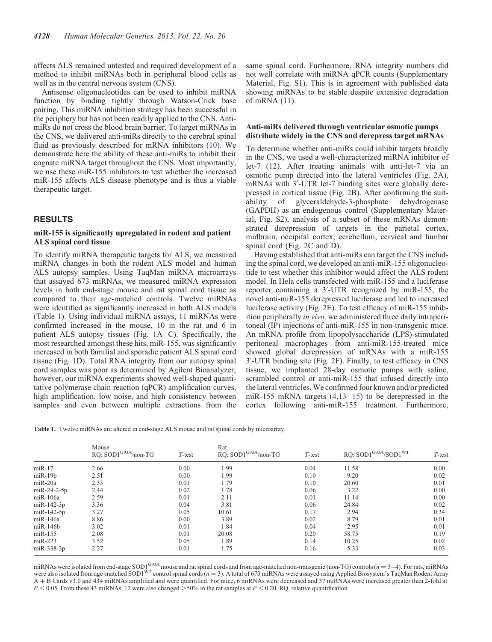affects ALS remained untested and required development of a method to inhibit miRNAs both in peripheral blood cells as well as in the central nervous system (CNS).

Antisense oligonucleotides can be used to inhibit miRNA function by binding tightly through Watson-Crick base pairing. This miRNA inhibition strategy has been successful in the periphery but has not been readily applied to the CNS. AntimiRs do not cross the blood brain barrier. To target miRNAs in the CNS, we delivered anti-miRs directly to the cerebral spinal fluid as previously described for mRNA inhibitors [\(10](#page-7-0)). We demonstrate here the ability of these anti-miRs to inhibit their cognate miRNA target throughout the CNS. Most importantly, we use these miR-155 inhibitors to test whether the increased miR-155 affects ALS disease phenotype and is thus a viable therapeutic target.

## **RESULTS**

## miR-155 is significantly upregulated in rodent and patient ALS spinal cord tissue

To identify miRNA therapeutic targets for ALS, we measured miRNA changes in both the rodent ALS model and human ALS autopsy samples. Using TaqMan miRNA microarrays that assayed 673 miRNAs, we measured miRNA expression levels in both end-stage mouse and rat spinal cord tissue as compared to their age-matched controls. Twelve miRNAs were identified as significantly increased in both ALS models (Table 1). Using individual miRNA assays, 11 miRNAs were confirmed increased in the mouse, 10 in the rat and 6 in patient ALS autopsy tissues (Fig. [1](#page-2-0)A–C). Specifically, the most researched amongst these hits, miR-155, was significantly increased in both familial and sporadic patient ALS spinal cord tissue (Fig. [1](#page-2-0)D). Total RNA integrity from our autopsy spinal cord samples was poor as determined by Agilent Bioanalyzer; however, our miRNA experiments showed well-shaped quantitative polymerase chain reaction (qPCR) amplification curves, high amplification, low noise, and high consistency between samples and even between multiple extractions from the same spinal cord. Furthermore, RNA integrity numbers did not well correlate with miRNA qPCR counts [\(Supplementary](http://hmg.oxfordjournals.org/lookup/suppl/doi:10.1093/hmg/ddt261/-/DC1) [Material, Fig. S1\)](http://hmg.oxfordjournals.org/lookup/suppl/doi:10.1093/hmg/ddt261/-/DC1). This is in agreement with published data showing miRNAs to be stable despite extensive degradation of mRNA ([11\)](#page-7-0).

## Anti-miRs delivered through ventricular osmotic pumps distribute widely in the CNS and derepress target mRNAs

To determine whether anti-miRs could inhibit targets broadly in the CNS, we used a well-characterized miRNA inhibitor of let-7 ([12\)](#page-7-0). After treating animals with anti-let-7 via an osmotic pump directed into the lateral ventricles (Fig. [2A](#page-3-0)), mRNAs with 3′ -UTR let-7 binding sites were globally derepressed in cortical tissue (Fig. [2](#page-3-0)B). After confirming the suitability of glyceraldehyde-3-phosphate dehydrogenase (GAPDH) as an endogenous control [\(Supplementary Mater](http://hmg.oxfordjournals.org/lookup/suppl/doi:10.1093/hmg/ddt261/-/DC1)[ial, Fig. S2\)](http://hmg.oxfordjournals.org/lookup/suppl/doi:10.1093/hmg/ddt261/-/DC1), analysis of a subset of these mRNAs demonstrated derepression of targets in the parietal cortex, midbrain, occipital cortex, cerebellum, cervical and lumbar spinal cord (Fig. [2](#page-3-0)C and D).

Having established that anti-miRs can target the CNS including the spinal cord, we developed an anti-miR-155 oligonucleotide to test whether this inhibitor would affect the ALS rodent model. In Hela cells transfected with miR-155 and a luciferase reporter containing a 3′ -UTR recognized by miR-155, the novel anti-miR-155 derepressed luciferase and led to increased luciferase activity (Fig. [2E](#page-3-0)). To test efficacy of miR-155 inhibition peripherally in vivo, we administered three daily intraperitoneal (IP) injections of anti-miR-155 in non-transgenic mice. An mRNA profile from lipopolysaccharide (LPS)-stimulated peritoneal macrophages from anti-miR-155-treated mice showed global derepression of mRNAs with a miR-155 3′ -UTR binding site (Fig. [2](#page-3-0)F). Finally, to test efficacy in CNS tissue, we implanted 28-day osmotic pumps with saline, scrambled control or anti-miR-155 that infused directly into the lateral ventricles. We confirmed four known and/or predicted miR-[15](#page-7-0)5 mRNA targets  $(4,13-15)$  $(4,13-15)$  $(4,13-15)$  to be derepressed in the cortex following anti-miR-155 treatment. Furthermore,

Table 1. Twelve miRNAs are altered in end-stage ALS mouse and rat spinal cords by microarray

|                | Mouse<br>RQ: SOD1 <sup>G93A</sup> /non-TG | $T$ -test | Rat<br>RQ: SOD1 <sup>G93A</sup> /non-TG | $T$ -test | RQ: SOD1 <sup>G93A</sup> /SOD1 <sup>WT</sup> | $T$ -test |
|----------------|-------------------------------------------|-----------|-----------------------------------------|-----------|----------------------------------------------|-----------|
| $miR-17$       | 2.66                                      | 0.00      | 1.99                                    | 0.04      | 11.58                                        | 0.00      |
| $m$ i $R-19b$  | 2.51                                      | 0.00      | 1.99                                    | 0.10      | 9.20                                         | 0.02      |
| $miR-20a$      | 2.33                                      | 0.01      | 1.79                                    | 0.10      | 20.60                                        | 0.01      |
| $miR-24-2-5p$  | 2.44                                      | 0.02      | 1.78                                    | 0.06      | 3.22                                         | 0.00      |
| $m$ i $R-106a$ | 2.59                                      | 0.01      | 2.11                                    | 0.01      | 11.14                                        | 0.00      |
| $miR-142-3p$   | 3.36                                      | 0.04      | 3.81                                    | 0.06      | 24.84                                        | 0.02      |
| $miR-142-5p$   | 3.27                                      | 0.05      | 10.61                                   | 0.17      | 2.94                                         | 0.34      |
| miR-146a       | 8.86                                      | 0.00      | 3.89                                    | 0.02      | 8.79                                         | 0.01      |
| $m$ iR-146 $b$ | 3.02                                      | 0.01      | 1.84                                    | 0.04      | 2.95                                         | 0.01      |
| $miR-155$      | 2.08                                      | 0.01      | 20.08                                   | 0.20      | 58.75                                        | 0.19      |
| $miR-223$      | 3.52                                      | 0.05      | 1.89                                    | 0.14      | 10.25                                        | 0.02      |
| $miR-338-3p$   | 2.27                                      | 0.01      | 1.75                                    | 0.16      | 5.33                                         | 0.03      |

miRNAs were isolated from end-stage SOD1<sup>G93A</sup> mouse and rat spinal cords and from age-matched non-transgenic (non-TG) controls ( $n = 3-4$ ). For rats, miRNAs were also isolated from age-matched SOD1<sup>WT</sup> control spinal cords ( $n = 3$ ). A total of 673 miRNAs were assayed using Applied Biosystem's TaqMan Rodent Array A + B Cards v3.0 and 434 miRNAs amplified and were quantified. For mice, 6 miRNAs were decreased and 37 miRNAs were increased greater than 2-fold at  $P < 0.05$ . From these 43 miRNAs, 12 were also changed  $> 50\%$  in the rat samples at  $P < 0.20$ . RQ, relative quantification.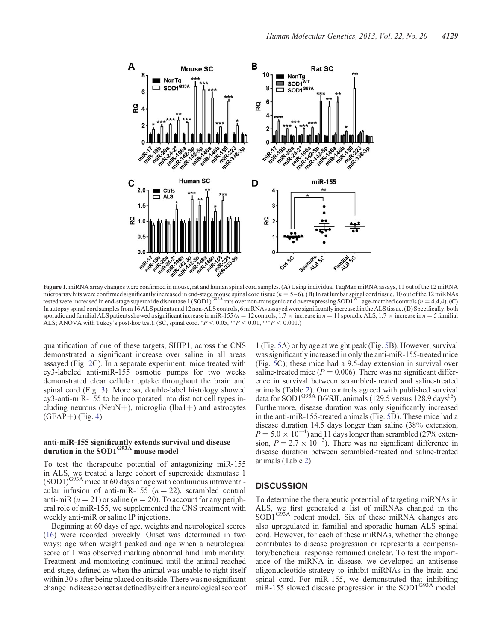<span id="page-2-0"></span>

Figure 1. miRNA array changes were confirmed in mouse, rat and human spinal cord samples. (A) Using individual TaqMan miRNA assays, 11 out of the 12 miRNA microarray hits were confirmed significantly increased in end-stage mouse spinal cord tissue ( $n = 5-6$ ). (B) In rat lumbar spinal cord tissue, 10 out of the 12 miRNAs tested were increased in end-stage superoxide dismutase 1 (SOD1)<sup>G93A</sup> rats over non-transgenic and overexpressing SOD1<sup>WT</sup> age-matched controls (n = 4,4,4). (C) Inautopsy spinal cord samplesfrom 16 ALS patientsand 12 non-ALScontrols,6 miRNAsassayed were significantly increasedin the ALS tissue. (D) Specifically,both sporadic and familial ALS patients showed a significant increase in miR-155 ( $n = 12$  controls; 1.7  $\times$  increase in  $n = 11$  sporadic ALS; 1.7  $\times$  increase in  $n = 5$  familial ALS; ANOVA with Tukey's post-hoc test). (SC, spinal cord. \* $P < 0.05$ , \*\* $P < 0.01$ , \*\*\* $P < 0.001$ .)

quantification of one of these targets, SHIP1, across the CNS demonstrated a significant increase over saline in all areas assayed (Fig. [2G](#page-3-0)). In a separate experiment, mice treated with cy3-labeled anti-miR-155 osmotic pumps for two weeks demonstrated clear cellular uptake throughout the brain and spinal cord (Fig. [3\)](#page-3-0). More so, double-label histology showed cy3-anti-miR-155 to be incorporated into distinct cell types including neurons (NeuN+), microglia (Iba1+) and astrocytes  $(GFAP+)$  (Fig. [4\)](#page-4-0).

## anti-miR-155 significantly extends survival and disease duration in the SOD1<sup>G93Å</sup> mouse model

To test the therapeutic potential of antagonizing miR-155 in ALS, we treated a large cohort of superoxide dismutase 1  $(SOD1)<sup>G93A</sup>$  mice at 60 days of age with continuous intraventricular infusion of anti-miR-155 ( $n = 22$ ), scrambled control anti-miR ( $n = 21$ ) or saline ( $n = 20$ ). To account for any peripheral role of miR-155, we supplemented the CNS treatment with weekly anti-miR or saline IP injections.

Beginning at 60 days of age, weights and neurological scores [\(16](#page-7-0)) were recorded biweekly. Onset was determined in two ways: age when weight peaked and age when a neurological score of 1 was observed marking abnormal hind limb motility. Treatment and monitoring continued until the animal reached end-stage, defined as when the animal was unable to right itself within 30 s after being placed on its side. There was no significant change in disease onset as defined by either a neurological score of

1 (Fig. [5](#page-4-0)A) or by age at weight peak (Fig. [5B](#page-4-0)). However, survival was significantly increased in only the anti-miR-155-treated mice (Fig. [5C](#page-4-0)); these mice had a 9.5-day extension in survival over saline-treated mice ( $P = 0.006$ ). There was no significant difference in survival between scrambled-treated and saline-treated animals (Table [2](#page-5-0)). Our controls agreed with published survival data for SOD1<sup>G93A</sup> B6/SJL animals (129.5 versus 128.9 days<sup>16</sup>). Furthermore, disease duration was only significantly increased in the anti-miR-155-treated animals (Fig. [5](#page-4-0)D). These mice had a disease duration 14.5 days longer than saline (38% extension,  $P = 5.0 \times 10^{-4}$ ) and 11 days longer than scrambled (27% extension,  $P = 2.7 \times 10^{-3}$ ). There was no significant difference in disease duration between scrambled-treated and saline-treated animals (Table [2\)](#page-5-0).

## **DISCUSSION**

To determine the therapeutic potential of targeting miRNAs in ALS, we first generated a list of miRNAs changed in the SOD1<sup>G93A</sup> rodent model. Six of these miRNA changes are also upregulated in familial and sporadic human ALS spinal cord. However, for each of these miRNAs, whether the change contributes to disease progression or represents a compensatory/beneficial response remained unclear. To test the importance of the miRNA in disease, we developed an antisense oligonucleotide strategy to inhibit miRNAs in the brain and spinal cord. For miR-155, we demonstrated that inhibiting miR-155 slowed disease progression in the SOD1 $G93A$  model.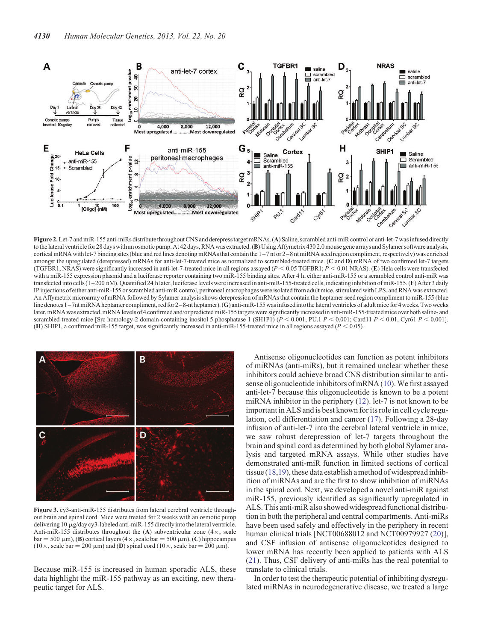<span id="page-3-0"></span>

Figure 2. Let-7 and miR-155 anti-miRs distribute throughout CNS and derepress target mRNAs. (A) Saline, scrambled anti-miR control or anti-let-7 was infused directly to the lateral ventricle for 28 days with an osmotic pump. At 42 days, RNA was extracted. (B) Using Affymetrix 430 2.0 mouse gene arrays and Sylamer software analysis, cortical mRNA with let-7 binding sites (blue and red lines denoting mRNAs that contain the 1-7 nt or 2-8 nt miRNA seed region compliment, respectively) was enriched amongst the upregulated (derepressed) mRNAs for anti-let-7-treated mice as normalized to scrambled-treated mice. (C and D) mRNA of two confirmed let-7 targets (TGFBR1, NRAS) were significantly increased in anti-let-7-treated mice in all regions assayed  $(P < 0.05$  TGFBR1;  $P < 0.01$  NRAS). (E) Hela cells were transfected with a miR-155 expression plasmid and a luciferase reporter containing two miR-155 binding sites. After 4 h, either anti-miR-155 or a scrambled control anti-miR was transfected into cells (1–200 nM). Quantified 24 h later, luciferase levels were increased in anti-miR-155-treated cells, indicating inhibition of miR-155. (F) After 3 daily IP injections of either anti-miR-155 or scrambled anti-miR control, peritoneal macrophages were isolated from adult mice, stimulated with LPS, andRNA was extracted. An Affymetrix microarray of mRNA followed by Sylamer analysis shows derepression of mRNAs that contain the heptamer seed region compliment to miR-155 (blue line denotes 1–7nt miRNA heptamer compliment, red for 2–8-nt heptamer). (G) anti-miR-155 was infused into the lateral ventricles of adult mice for 4 weeks. Two weeks later,mRNA was extracted.mRNA levels of 4 confirmed and/or predicted miR-155 targets were significantly increased in anti-miR-155-treated mice over both saline- and scrambled-treated mice [Src homology-2 domain-containing inositol 5 phosphatase 1 (SH1P1)  $(P < 0.001, PU1 P < 0.001$ ; Card11  $P < 0.01$ , Cyr61  $P < 0.001$ ]. (H) SHIP1, a confirmed miR-155 target, was significantly increased in anti-miR-155-treated mice in all regions assayed ( $P < 0.05$ ).



Figure 3. cy3-anti-miR-155 distributes from lateral cerebral ventricle throughout brain and spinal cord. Mice were treated for 2 weeks with an osmotic pump delivering 10  $\mu$ g/day cy3-labeled anti-miR-155 directly into the lateral ventricle. Anti-miR-155 distributes throughout the  $(A)$  subventricular zone  $(4 \times, \text{ scale})$  $bar = 500 \mu m$ ), (B) cortical layers (4×, scale bar = 500  $\mu$ m), (C) hippocampus (10 x, scale bar = 200  $\mu$ m) and (D) spinal cord (10 x, scale bar = 200  $\mu$ m).

Because miR-155 is increased in human sporadic ALS, these data highlight the miR-155 pathway as an exciting, new therapeutic target for ALS.

Antisense oligonucleotides can function as potent inhibitors of miRNAs (anti-miRs), but it remained unclear whether these inhibitors could achieve broad CNS distribution similar to antisense oligonucleotide inhibitors of mRNA ([10\)](#page-7-0). We first assayed anti-let-7 because this oligonucleotide is known to be a potent miRNA inhibitor in the periphery ([12\)](#page-7-0). let-7 is not known to be important in ALS and is best known for its role in cell cycle regulation, cell differentiation and cancer ([17\)](#page-7-0). Following a 28-day infusion of anti-let-7 into the cerebral lateral ventricle in mice, we saw robust derepression of let-7 targets throughout the brain and spinal cord as determined by both global Sylamer analysis and targeted mRNA assays. While other studies have demonstrated anti-miR function in limited sections of cortical tissue ([18,19](#page-7-0)), these data establish a method of widespread inhibition of miRNAs and are the first to show inhibition of miRNAs in the spinal cord. Next, we developed a novel anti-miR against miR-155, previously identified as significantly upregulated in ALS. This anti-miR also showed widespread functional distribution in both the peripheral and central compartments. Anti-miRs have been used safely and effectively in the periphery in recent human clinical trials [NCT00688012 and NCT00979927 ([20\)](#page-7-0)], and CSF infusion of antisense oligonucleotides designed to lower mRNA has recently been applied to patients with ALS [\(21](#page-7-0)). Thus, CSF delivery of anti-miRs has the real potential to translate to clinical trials.

In order to test the therapeutic potential of inhibiting dysregulated miRNAs in neurodegenerative disease, we treated a large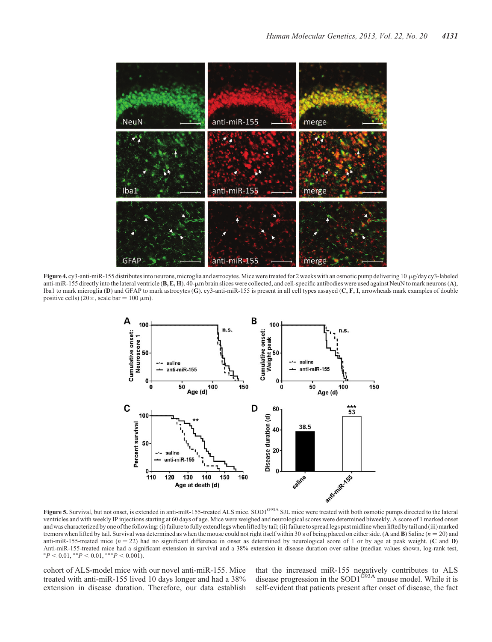<span id="page-4-0"></span>

Figure 4. cy3-anti-miR-155 distributes into neurons, microglia and astrocytes. Mice were treated for 2 weeks with an osmotic pump delivering 10 µg/day cy3-labeled anti-miR-155 directly into the lateral ventricle  $(B, E, H)$ . 40- $\mu$ m brain slices were collected, and cell-specific antibodies were used against NeuN to mark neurons  $(A)$ , Iba1 to mark microglia (D) and GFAP to mark astrocytes (G). cy3-anti-miR-155 is present in all cell types assayed (C, F, I, arrowheads mark examples of double positive cells) (20 $\times$ , scale bar = 100  $\mu$ m).



ventricles and with weekly IP injections starting at 60 days of age. Mice were weighed and neurological scores were determined biweekly. A score of 1 marked onset and was characterized by one of the following: (i) failure to fully extendlegs when liftedby tail; (ii) failure to spread legs past midline whenlifted by tail and (iii) marked tremors when lifted by tail. Survival was determined as when the mouse could not right itself within 30 s of being placed on either side. (A and B) Saline ( $n = 20$ ) and anti-miR-155-treated mice  $(n = 22)$  had no significant difference in onset as determined by neurological score of 1 or by age at peak weight. (C and D) Anti-miR-155-treated mice had a significant extension in survival and a 38% extension in disease duration over saline (median values shown, log-rank test,  $*P < 0.01, **P < 0.01, **P < 0.001$ .

cohort of ALS-model mice with our novel anti-miR-155. Mice treated with anti-miR-155 lived 10 days longer and had a 38% extension in disease duration. Therefore, our data establish

that the increased miR-155 negatively contributes to ALS disease progression in the SOD1<sup>G93A</sup> mouse model. While it is self-evident that patients present after onset of disease, the fact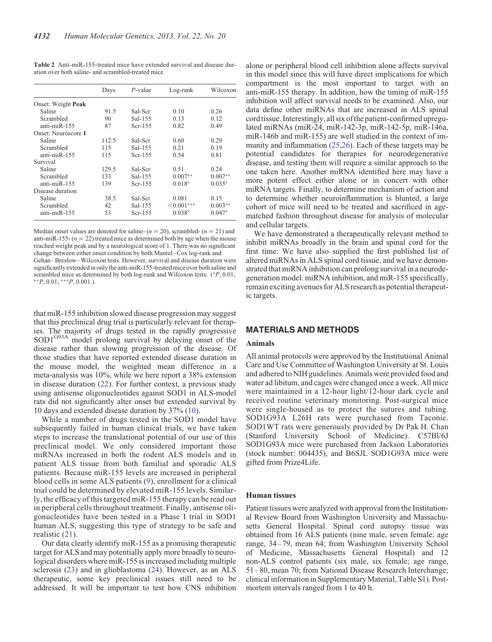|                            | Days  | $P$ -value | Log-rank      | Wilcoxon  |
|----------------------------|-------|------------|---------------|-----------|
| Onset: Weight Peak         |       |            |               |           |
| Saline                     | 91.5  | Sal-Scr    | 0.10          | 0.26      |
| Scrambled                  | 90    | Sal-155    | 0.13          | 0.12      |
| anti-mi $R-155$            | 87    | $Scr-155$  | 0.82          | 0.49      |
| <b>Onset:</b> Neuroscore 1 |       |            |               |           |
| Saline                     | 112.5 | Sal-Scr    | 0.60          | 0.29      |
| Scrambled                  | 115   | Sal-155    | 0.21          | 0.19      |
| anti-mi $R-155$            | 115   | Scr-155    | 0.54          | 0.81      |
| Survival                   |       |            |               |           |
| Saline                     | 129.5 | Sal-Scr    | 0.51          | 0.24      |
| Scrambled                  | 133   | Sal-155    | $0.007**$     | $0.007**$ |
| anti-miR-155               | 139   | $Scr-155$  | $0.018*$      | $0.035*$  |
| Disease duration           |       |            |               |           |
| Saline                     | 38.5  | Sal-Scr    | 0.081         | 0.15      |
| Scrambled                  | 42    | Sal-155    | $< 0.001$ *** | $0.003**$ |
| anti-miR-155               | 53    | Scr-155    | $0.038*$      | $0.047*$  |

<span id="page-5-0"></span>Table 2 Anti-miR-155-treated mice have extended survival and disease duration over both saline- and scrambled-treated mice

Median onset values are denoted for saline-  $(n = 20)$ , scrambled-  $(n = 21)$  and anti-miR-155- ( $n = 22$ ) treated mice as determined both by age when the mouse reached weight peak and by a neurological score of 1. There was no significant change between either onset condition by both Mantel–Cox log-rank and Gehan–Breslow–Wilcoxon tests. However, survival and disease duration were significantly extended in only the anti-miR-155-treated mice over both saline and scrambled mice as determined by both log-rank and Wilcoxon tests.  $(*P, 0.01;$  $*$ <sup>\*</sup> $P$ , 0.01;  $*$ <sup>\*\*</sup> $P$ , 0.001.).

that miR-155 inhibition slowed disease progression may suggest that this preclinical drug trial is particularly relevant for therapies. The majority of drugs tested in the rapidly progressive SOD1<sup>G93A</sup> model prolong survival by delaying onset of the disease rather than slowing progression of the disease. Of those studies that have reported extended disease duration in the mouse model, the weighted mean difference in a meta-analysis was 10%, while we here report a 38% extension in disease duration [\(22](#page-7-0)). For further context, a previous study using antisense oligonucleotides against SOD1 in ALS-model rats did not significantly alter onset but extended survival by 10 days and extended disease duration by 37% ([10\)](#page-7-0).

While a number of drugs tested in the SOD1 model have subsequently failed in human clinical trials, we have taken steps to increase the translational potential of our use of this preclinical model. We only considered important those miRNAs increased in both the rodent ALS models and in patient ALS tissue from both familial and sporadic ALS patients. Because miR-155 levels are increased in peripheral blood cells in some ALS patients [\(9](#page-7-0)), enrollment for a clinical trial could be determined by elevated miR-155 levels. Similarly, the efficacy of this targeted miR-155 therapy can be read out in peripheral cells throughout treatment. Finally, antisense oligonucleotides have been tested in a Phase I trial in SOD1 human ALS, suggesting this type of strategy to be safe and realistic ([21\)](#page-7-0).

Our data clearly identify miR-155 as a promising therapeutic target for ALS and may potentially apply more broadly to neurological disorders where miR-155 is increased including multiple sclerosis [\(23](#page-7-0)) and in glioblastoma [\(24](#page-7-0)). However, as an ALS therapeutic, some key preclinical issues still need to be addressed. It will be important to test how CNS inhibition

alone or peripheral blood cell inhibition alone affects survival in this model since this will have direct implications for which compartment is the most important to target with an anti-miR-155 therapy. In addition, how the timing of miR-155 inhibition will affect survival needs to be examined. Also, our data define other miRNAs that are increased in ALS spinal cord tissue. Interestingly, all six of the patient-confirmed upregulated miRNAs (miR-24, miR-142-3p, miR-142-5p, miR-146a, miR-146b and miR-155) are well studied in the context of immunity and inflammation ([25,26](#page-8-0)). Each of these targets may be potential candidates for therapies for neurodegenerative disease, and testing them will require a similar approach to the one taken here. Another miRNA identified here may have a more potent effect either alone or in concert with other miRNA targets. Finally, to determine mechanism of action and to determine whether neuroinflammation is blunted, a large cohort of mice will need to be treated and sacrificed in agematched fashion throughout disease for analysis of molecular and cellular targets.

We have demonstrated a therapeutically relevant method to inhibit miRNAs broadly in the brain and spinal cord for the first time. We have also supplied the first published list of altered miRNAs in ALS spinal cord tissue, and we have demonstrated that miRNA inhibition can prolong survival in a neurodegeneration model. miRNA inhibition, and miR-155 specifically, remain exciting avenues for ALS research as potential therapeutic targets.

## MATERIALS AND METHODS

## Animals

All animal protocols were approved by the Institutional Animal Care and Use Committee of Washington University at St. Louis and adhered to NIH guidelines. Animals were provided food and water ad libitum, and cages were changed once a week. All mice were maintained in a 12-hour light/12-hour dark cycle and received routine veterinary monitoring. Post-surgical mice were single-housed as to protect the sutures and tubing. SOD1G93A L26H rats were purchased from Taconic. SOD1WT rats were generously provided by Dr Pak H. Chan (Stanford University School of Medicine). C57Bl/6J SOD1G93A mice were purchased from Jackson Laboratories (stock number: 004435), and B6SJL SOD1G93A mice were gifted from Prize4Life.

#### Human tissues

Patient tissues were analyzed with approval from the Institutional Review Board from Washington University and Massachusetts General Hospital. Spinal cord autopsy tissue was obtained from 16 ALS patients (nine male, seven female; age range, 34–79, mean 64; from Washington University School of Medicine, Massachusetts General Hospital) and 12 non-ALS control patients (six male, six female; age range, 51–80, mean 70; from National Disease Research Interchange; clinical information in [Supplementary Material, Table S1](http://hmg.oxfordjournals.org/lookup/suppl/doi:10.1093/hmg/ddt261/-/DC1)). Postmortem intervals ranged from 1 to 40 h.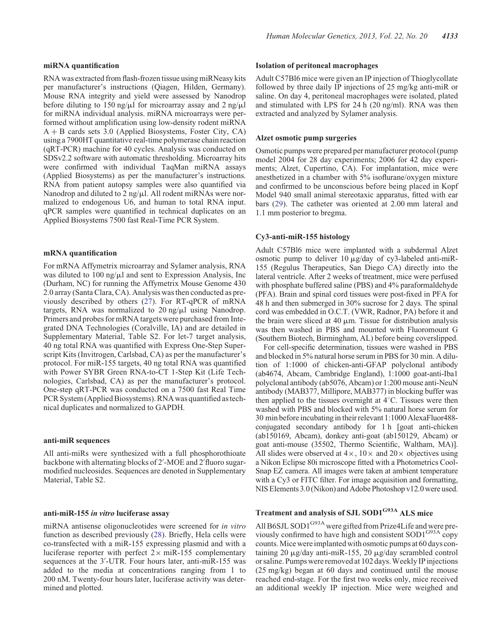## miRNA quantification

RNA was extracted from flash-frozen tissue using miRNeasy kits per manufacturer's instructions (Qiagen, Hilden, Germany). Mouse RNA integrity and yield were assessed by Nanodrop before diluting to 150 ng/ $\mu$ l for microarray assay and 2 ng/ $\mu$ l for miRNA individual analysis. miRNA microarrays were performed without amplification using low-density rodent miRNA A + B cards sets 3.0 (Applied Biosystems, Foster City, CA) using a 7900HT quantitative real-time polymerase chain reaction (qRT-PCR) machine for 40 cycles. Analysis was conducted on SDSv2.2 software with automatic thresholding. Microarray hits were confirmed with individual TaqMan miRNA assays (Applied Biosystems) as per the manufacturer's instructions. RNA from patient autopsy samples were also quantified via Nanodrop and diluted to 2 ng/ $\mu$ l. All rodent miRNAs were normalized to endogenous U6, and human to total RNA input. qPCR samples were quantified in technical duplicates on an Applied Biosystems 7500 fast Real-Time PCR System.

## mRNA quantification

For mRNA Affymetrix microarray and Sylamer analysis, RNA was diluted to 100 ng/ $\mu$ l and sent to Expression Analysis, Inc (Durham, NC) for running the Affymetrix Mouse Genome 430 2.0 array (Santa Clara, CA). Analysis was then conducted as previously described by others [\(27](#page-8-0)). For RT-qPCR of mRNA targets, RNA was normalized to  $20 \text{ ng}/\mu l$  using Nanodrop. Primers and probes for mRNA targets were purchased from Integrated DNA Technologies (Coralville, IA) and are detailed in [Supplementary Material, Table S2](http://hmg.oxfordjournals.org/lookup/suppl/doi:10.1093/hmg/ddt261/-/DC1). For let-7 target analysis, 40 ng total RNA was quantified with Express One-Step Superscript Kits (Invitrogen, Carlsbad, CA) as per the manufacturer's protocol. For miR-155 targets, 40 ng total RNA was quantified with Power SYBR Green RNA-to-CT 1-Step Kit (Life Technologies, Carlsbad, CA) as per the manufacturer's protocol. One-step qRT-PCR was conducted on a 7500 fast Real Time PCR System (Applied Biosystems). RNA was quantified as technical duplicates and normalized to GAPDH.

#### anti-miR sequences

All anti-miRs were synthesized with a full phosphorothioate backbone with alternating blocks of 2′ -MOE and 2′ fluoro sugarmodified nucleosides. Sequences are denoted in [Supplementary](http://hmg.oxfordjournals.org/lookup/suppl/doi:10.1093/hmg/ddt261/-/DC1) [Material, Table S2.](http://hmg.oxfordjournals.org/lookup/suppl/doi:10.1093/hmg/ddt261/-/DC1)

## anti-miR-155 in vitro luciferase assay

miRNA antisense oligonucleotides were screened for in vitro function as described previously [\(28](#page-8-0)). Briefly, Hela cells were co-transfected with a miR-155 expressing plasmid and with a luciferase reporter with perfect  $2 \times m$  iR-155 complementary sequences at the 3'-UTR. Four hours later, anti-miR-155 was added to the media at concentrations ranging from 1 to 200 nM. Twenty-four hours later, luciferase activity was determined and plotted.

## Isolation of peritoneal macrophages

Adult C57Bl6 mice were given an IP injection of Thioglycollate followed by three daily IP injections of 25 mg/kg anti-miR or saline. On day 4, peritoneal macrophages were isolated, plated and stimulated with LPS for 24 h (20 ng/ml). RNA was then extracted and analyzed by Sylamer analysis.

#### Alzet osmotic pump surgeries

Osmotic pumps were prepared per manufacturer protocol (pump model 2004 for 28 day experiments; 2006 for 42 day experiments; Alzet, Cupertino, CA). For implantation, mice were anesthetized in a chamber with 5% isoflurane/oxygen mixture and confirmed to be unconscious before being placed in Kopf Model 940 small animal stereotaxic apparatus, fitted with ear bars [\(29](#page-8-0)). The catheter was oriented at 2.00 mm lateral and 1.1 mm posterior to bregma.

#### Cy3-anti-miR-155 histology

Adult C57Bl6 mice were implanted with a subdermal Alzet osmotic pump to deliver  $10 \mu g/day$  of cy3-labeled anti-miR-155 (Regulus Therapeutics, San Diego CA) directly into the lateral ventricle. After 2 weeks of treatment, mice were perfused with phosphate buffered saline (PBS) and 4% paraformaldehyde (PFA). Brain and spinal cord tissues were post-fixed in PFA for 48 h and then submerged in 30% sucrose for 2 days. The spinal cord was embedded in O.C.T. (VWR, Radnor, PA) before it and the brain were sliced at 40  $\mu$ m. Tissue for distribution analysis was then washed in PBS and mounted with Fluoromount G (Southern Biotech, Birmingham, AL) before being coverslipped.

For cell-specific determination, tissues were washed in PBS and blocked in 5% natural horse serum in PBS for 30 min. A dilution of 1:1000 of chicken-anti-GFAP polyclonal antibody (ab4674, Abcam, Cambridge England), 1:1000 goat-anti-Iba1 polyclonal antibody (ab5076, Abcam) or 1:200 mouse anti-NeuN antibody (MAB377, Millipore, MAB377) in blocking buffer was then applied to the tissues overnight at  $4^{\circ}$ C. Tissues were then washed with PBS and blocked with 5% natural horse serum for 30 min before incubating in their relevant 1:1000 AlexaFluor488 conjugated secondary antibody for 1 h [goat anti-chicken (ab150169, Abcam), donkey anti-goat (ab150129, Abcam) or goat anti-mouse (35502, Thermo Scientific, Waltham, MA)]. All slides were observed at  $4 \times$ ,  $10 \times$  and  $20 \times$  objectives using a Nikon Eclipse 80i microscope fitted with a Photometrics Cool-Snap EZ camera. All images were taken at ambient temperature with a Cy3 or FITC filter. For image acquisition and formatting, NIS Elements 3.0 (Nikon) and Adobe Photoshop v12.0 were used.

## Treatment and analysis of SJL SOD1G93A ALS mice

All B6SJL SOD1<sup>G93A</sup> were gifted from Prize4Life and were previously confirmed to have high and consistent  $SOD1^{G93A}$  copy counts. Mice were implanted with osmotic pumps at 60 days containing 20  $\mu$ g/day anti-miR-155, 20  $\mu$ g/day scrambled control or saline. Pumps were removed at 102 days. Weekly IP injections (25 mg/kg) began at 60 days and continued until the mouse reached end-stage. For the first two weeks only, mice received an additional weekly IP injection. Mice were weighed and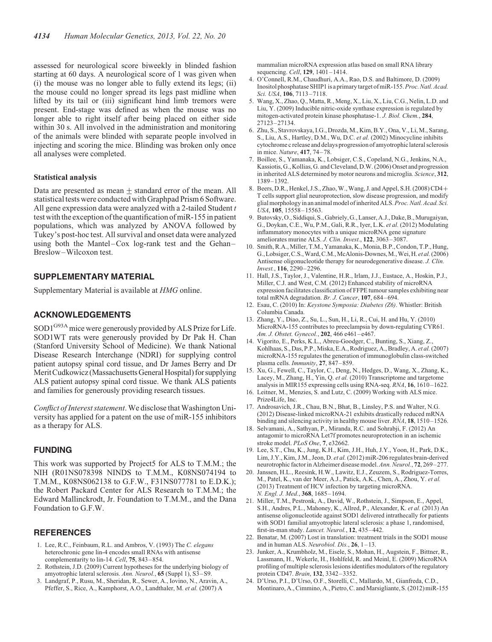<span id="page-7-0"></span>assessed for neurological score biweekly in blinded fashion starting at 60 days. A neurological score of 1 was given when (i) the mouse was no longer able to fully extend its legs; (ii) the mouse could no longer spread its legs past midline when lifted by its tail or (iii) significant hind limb tremors were present. End-stage was defined as when the mouse was no longer able to right itself after being placed on either side within 30 s. All involved in the administration and monitoring of the animals were blinded with separate people involved in injecting and scoring the mice. Blinding was broken only once all analyses were completed.

## Statistical analysis

Data are presented as mean + standard error of the mean. All statistical tests were conducted with Graphpad Prism 6 Software. All gene expression data were analyzed with a 2-tailed Student  $t$ test with the exception of the quantification of miR-155 in patient populations, which was analyzed by ANOVA followed by Tukey's post-hoc test. All survival and onset data were analyzed using both the Mantel–Cox log-rank test and the Gehan– Breslow–Wilcoxon test.

## SUPPLEMENTARY MATERIAL

[Supplementary Material is available at](http://hmg.oxfordjournals.org/lookup/suppl/doi:10.1093/hmg/ddt261/-/DC1) HMG online.

## ACKNOWLEDGEMENTS

SOD1<sup>G93A</sup> mice were generously provided by ALS Prize for Life. SOD1WT rats were generously provided by Dr Pak H. Chan (Stanford University School of Medicine). We thank National Disease Research Interchange (NDRI) for supplying control patient autopsy spinal cord tissue, and Dr James Berry and Dr Merit Cudkowicz (Massachusetts General Hospital) for supplying ALS patient autopsy spinal cord tissue. We thank ALS patients and families for generously providing research tissues.

Conflict of Interest statement. We disclose that Washington University has applied for a patent on the use of miR-155 inhibitors as a therapy for ALS.

## FUNDING

This work was supported by Project5 for ALS to T.M.M.; the NIH (R01NS078398 NINDS to T.M.M., K08NS074194 to T.M.M., K08NS062138 to G.F.W., F31NS077781 to E.D.K.); the Robert Packard Center for ALS Research to T.M.M.; the Edward Mallinckrodt, Jr. Foundation to T.M.M., and the Dana Foundation to G.F.W.

### **REFERENCES**

- 1. Lee, R.C., Feinbaum, R.L. and Ambros, V. (1993) The C. elegans heterochronic gene lin-4 encodes small RNAs with antisense complementarity to lin-14. Cell, 75, 843-854.
- 2. Rothstein, J.D. (2009) Current hypotheses for the underlying biology of amyotrophic lateral sclerosis. Ann. Neurol., 65 (Suppl 1), S3–S9.
- 3. Landgraf, P., Rusu, M., Sheridan, R., Sewer, A., Iovino, N., Aravin, A., Pfeffer, S., Rice, A., Kamphorst, A.O., Landthaler, M. et al. (2007) A

mammalian microRNA expression atlas based on small RNA library sequencing. Cell, 129, 1401-1414.

- 4. O'Connell, R.M., Chaudhuri, A.A., Rao, D.S. and Baltimore, D. (2009) Inositol phosphatase SHIP1 is a primary target of miR-155.Proc.Natl. Acad. Sci. US $\hat{A}$ , 106, 7113–7118.
- 5. Wang, X., Zhao, Q., Matta, R., Meng, X., Liu, X., Liu, C.G., Nelin, L.D. and Liu, Y. (2009) Inducible nitric-oxide synthase expression is regulated by mitogen-activated protein kinase phosphatase-1. J. Biol. Chem., 284, 27123–27134.
- 6. Zhu, S., Stavrovskaya, I.G., Drozda, M., Kim, B.Y., Ona, V., Li, M., Sarang, S., Liu, A.S., Hartley, D.M., Wu, D.C. et al. (2002) Minocycline inhibits cytochrome c release and delays progression of amyotrophic lateral sclerosis in mice. Nature, 417, 74–78.
- 7. Boillee, S., Yamanaka, K., Lobsiger, C.S., Copeland, N.G., Jenkins, N.A., Kassiotis, G., Kollias, G. and Cleveland, D.W. (2006) Onset and progression in inherited ALS determined by motor neurons and microglia. Science, 312, 1389–1392.
- 8. Beers, D.R., Henkel, J.S., Zhao, W., Wang, J. and Appel, S.H. (2008) CD4+ T cells support glial neuroprotection, slow disease progression, and modify glial morphology in an animal model of inherited ALS. Proc. Natl. Acad. Sci. USA, 105, 15558–15563.
- 9. Butovsky,O., Siddiqui, S., Gabriely, G., Lanser, A.J., Dake, B., Murugaiyan, G., Doykan, C.E., Wu, P.M., Gali, R.R., Iyer, L.K. et al. (2012) Modulating inflammatory monocytes with a unique microRNA gene signature ameliorates murine ALS. J. Clin. Invest., 122, 3063–3087.
- 10. Smith, R.A., Miller, T.M., Yamanaka, K., Monia, B.P., Condon, T.P., Hung, G., Lobsiger, C.S., Ward, C.M., McAlonis-Downes, M., Wei, H. et al.(2006) Antisense oligonucleotide therapy for neurodegenerative disease. J. Clin. Invest., 116, 2290–2296.
- 11. Hall, J.S., Taylor, J., Valentine, H.R., Irlam, J.J., Eustace, A., Hoskin, P.J., Miller, C.J. and West, C.M. (2012) Enhanced stability of microRNA expression facilitates classification of FFPE tumour samples exhibiting near total mRNA degradation. Br. J. Cancer, 107, 684–694.
- 12. Esau, C. (2010) In: Keystone Symposia: Diabetes (Z6). Whistler: British Columbia Canada.
- 13. Zhang, Y., Diao, Z., Su, L., Sun, H., Li, R., Cui, H. and Hu, Y. (2010) MicroRNA-155 contributes to preeclampsia by down-regulating CYR61. Am. J. Obstet. Gynecol., 202, 466 e461–e467.
- 14. Vigorito, E., Perks, K.L., Abreu-Goodger, C., Bunting, S., Xiang, Z., Kohlhaas, S., Das, P.P., Miska, E.A., Rodriguez, A., Bradley, A. et al.(2007) microRNA-155 regulates the generation of immunoglobulin class-switched plasma cells. Immunity, 27, 847–859.
- 15. Xu, G., Fewell, C., Taylor, C., Deng, N., Hedges, D., Wang, X., Zhang, K., Lacey, M., Zhang, H., Yin, Q. et al. (2010) Transcriptome and targetome analysis in MIR155 expressing cells using RNA-seq. RNA, 16, 1610–1622.
- 16. Leitner, M., Menzies, S. and Lutz, C. (2009) Working with ALS mice. Prize4Life, Inc.
- 17. Androsavich, J.R., Chau, B.N., Bhat, B., Linsley, P.S. and Walter, N.G. (2012) Disease-linked microRNA-21 exhibits drastically reduced mRNA binding and silencing activity in healthy mouse liver. RNA, 18, 1510-1526.
- 18. Selvamani, A., Sathyan, P., Miranda, R.C. and Sohrabji, F. (2012) An antagomir to microRNA Let7f promotes neuroprotection in an ischemic stroke model. PLoS One, 7, e32662.
- 19. Lee, S.T., Chu, K., Jung, K.H., Kim, J.H., Huh, J.Y., Yoon, H., Park, D.K., Lim, J.Y., Kim, J.M., Jeon, D. et al. (2012) miR-206 regulates brain-derived neurotrophic factor in Alzheimer disease model.Ann. Neurol., 72, 269–277.
- 20. Janssen, H.L., Reesink, H.W., Lawitz, E.J., Zeuzem, S., Rodriguez-Torres, M., Patel, K., van der Meer, A.J., Patick, A.K., Chen, A., Zhou, Y. et al. (2013) Treatment of HCV infection by targeting microRNA. N. Engl. J. Med., 368, 1685-1694.
- 21. Miller, T.M., Pestronk, A., David, W., Rothstein, J., Simpson, E., Appel, S.H., Andres, P.L., Mahoney, K., Allred, P., Alexander, K. et al. (2013) An antisense oligonucleotide against SOD1 delivered intrathecally for patients with SOD1 familial amyotrophic lateral sclerosis: a phase 1, randomised, first-in-man study. Lancet. Neurol., 12, 435–442.
- 22. Benatar, M. (2007) Lost in translation: treatment trials in the SOD1 mouse and in human ALS. Neurobiol. Dis., 26, 1–13.
- 23. Junker, A., Krumbholz, M., Eisele, S., Mohan, H., Augstein, F., Bittner, R., Lassmann, H., Wekerle, H., Hohlfeld, R. and Meinl, E. (2009) MicroRNA profiling of multiple sclerosis lesions identifies modulators of the regulatory protein CD47. Brain, 132, 3342-3352.
- 24. D'Urso, P.I., D'Urso, O.F., Storelli, C., Mallardo, M., Gianfreda, C.D., Montinaro, A., Cimmino, A., Pietro, C. and Marsigliante, S. (2012) miR-155